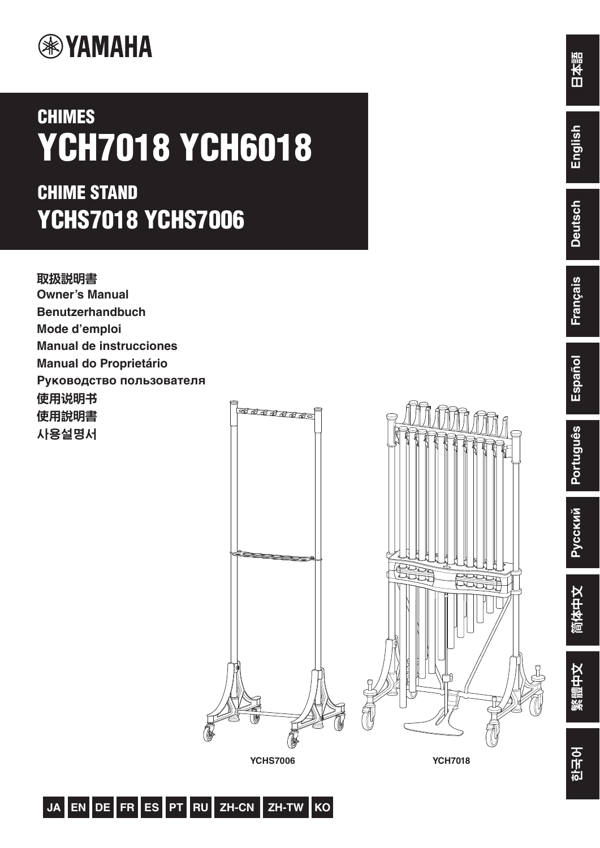

# **CHIMES YCH7018 YCH6018**

## **CHIME STAND YCHS7018 YCHS7006**



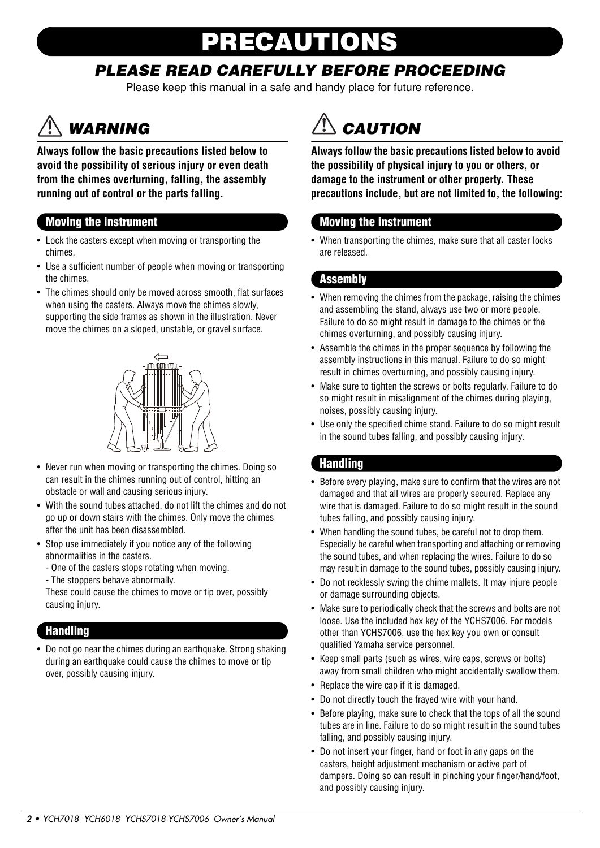# **PRECAUTIONS**

### *PLEASE READ CAREFULLY BEFORE PROCEEDING*

Please keep this manual in a safe and handy place for future reference.

## *WARNING*

**Always follow the basic precautions listed below to avoid the possibility of serious injury or even death from the chimes overturning, falling, the assembly running out of control or the parts falling.**

#### **Moving the instrument**

- Lock the casters except when moving or transporting the chimes.
- Use a sufficient number of people when moving or transporting the chimes.
- The chimes should only be moved across smooth, flat surfaces when using the casters. Always move the chimes slowly, supporting the side frames as shown in the illustration. Never move the chimes on a sloped, unstable, or gravel surface.



- Never run when moving or transporting the chimes. Doing so can result in the chimes running out of control, hitting an obstacle or wall and causing serious injury.
- With the sound tubes attached, do not lift the chimes and do not go up or down stairs with the chimes. Only move the chimes after the unit has been disassembled.
- Stop use immediately if you notice any of the following abnormalities in the casters.
	- One of the casters stops rotating when moving.
	- The stoppers behave abnormally.

These could cause the chimes to move or tip over, possibly causing injury.

#### **Handling**

• Do not go near the chimes during an earthquake. Strong shaking during an earthquake could cause the chimes to move or tip over, possibly causing injury.



**Always follow the basic precautions listed below to avoid the possibility of physical injury to you or others, or damage to the instrument or other property. These precautions include, but are not limited to, the following:**

#### **Moving the instrument**

• When transporting the chimes, make sure that all caster locks are released.

#### **Assembly**

- When removing the chimes from the package, raising the chimes and assembling the stand, always use two or more people. Failure to do so might result in damage to the chimes or the chimes overturning, and possibly causing injury.
- Assemble the chimes in the proper sequence by following the assembly instructions in this manual. Failure to do so might result in chimes overturning, and possibly causing injury.
- Make sure to tighten the screws or bolts regularly. Failure to do so might result in misalignment of the chimes during playing, noises, possibly causing injury.
- Use only the specified chime stand. Failure to do so might result in the sound tubes falling, and possibly causing injury.

#### **Handling**

- Before every playing, make sure to confirm that the wires are not damaged and that all wires are properly secured. Replace any wire that is damaged. Failure to do so might result in the sound tubes falling, and possibly causing injury.
- When handling the sound tubes, be careful not to drop them. Especially be careful when transporting and attaching or removing the sound tubes, and when replacing the wires. Failure to do so may result in damage to the sound tubes, possibly causing injury.
- Do not recklessly swing the chime mallets. It may injure people or damage surrounding objects.
- Make sure to periodically check that the screws and bolts are not loose. Use the included hex key of the YCHS7006. For models other than YCHS7006, use the hex key you own or consult qualified Yamaha service personnel.
- Keep small parts (such as wires, wire caps, screws or bolts) away from small children who might accidentally swallow them.
- Replace the wire cap if it is damaged.
- Do not directly touch the frayed wire with your hand.
- Before playing, make sure to check that the tops of all the sound tubes are in line. Failure to do so might result in the sound tubes falling, and possibly causing injury.
- Do not insert your finger, hand or foot in any gaps on the casters, height adjustment mechanism or active part of dampers. Doing so can result in pinching your finger/hand/foot, and possibly causing injury.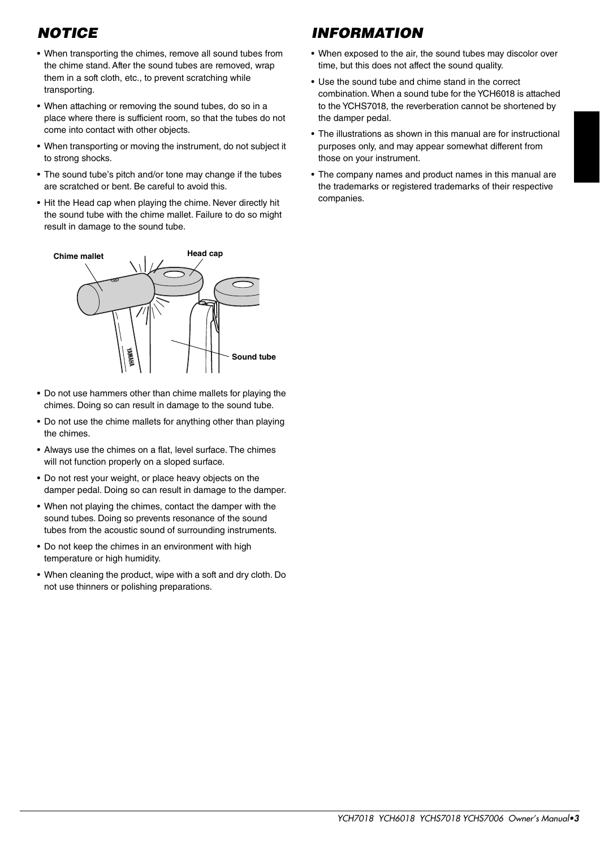### *NOTICE*

- When transporting the chimes, remove all sound tubes from the chime stand. After the sound tubes are removed, wrap them in a soft cloth, etc., to prevent scratching while transporting.
- When attaching or removing the sound tubes, do so in a place where there is sufficient room, so that the tubes do not come into contact with other objects.
- When transporting or moving the instrument, do not subject it to strong shocks.
- The sound tube's pitch and/or tone may change if the tubes are scratched or bent. Be careful to avoid this.
- Hit the Head cap when playing the chime. Never directly hit the sound tube with the chime mallet. Failure to do so might result in damage to the sound tube.



- Do not use hammers other than chime mallets for playing the chimes. Doing so can result in damage to the sound tube.
- Do not use the chime mallets for anything other than playing the chimes.
- Always use the chimes on a flat, level surface. The chimes will not function properly on a sloped surface.
- Do not rest your weight, or place heavy objects on the damper pedal. Doing so can result in damage to the damper.
- When not playing the chimes, contact the damper with the sound tubes. Doing so prevents resonance of the sound tubes from the acoustic sound of surrounding instruments.
- Do not keep the chimes in an environment with high temperature or high humidity.
- When cleaning the product, wipe with a soft and dry cloth. Do not use thinners or polishing preparations.

### *INFORMATION*

- When exposed to the air, the sound tubes may discolor over time, but this does not affect the sound quality.
- Use the sound tube and chime stand in the correct combination. When a sound tube for the YCH6018 is attached to the YCHS7018, the reverberation cannot be shortened by the damper pedal.
- The illustrations as shown in this manual are for instructional purposes only, and may appear somewhat different from those on your instrument.
- The company names and product names in this manual are the trademarks or registered trademarks of their respective companies.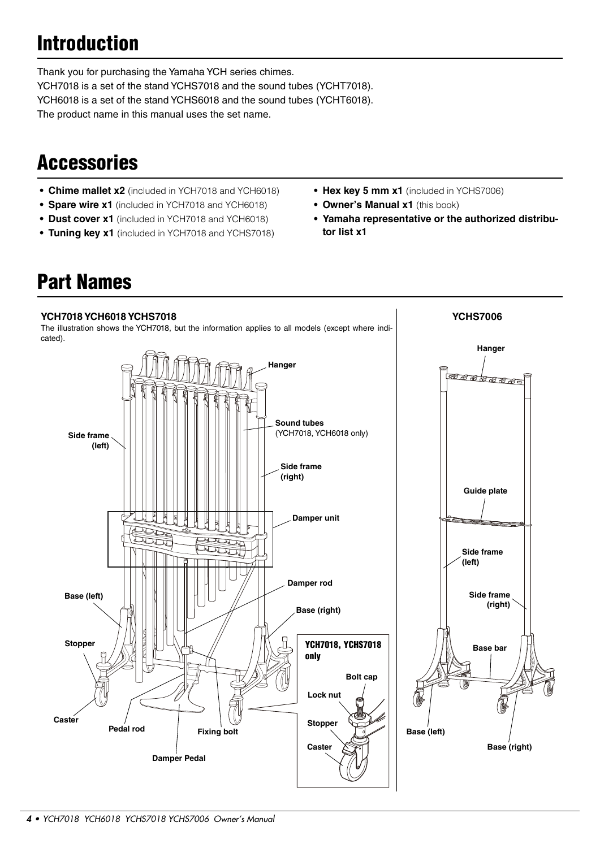## **Introduction**

Thank you for purchasing the Yamaha YCH series chimes. YCH7018 is a set of the stand YCHS7018 and the sound tubes (YCHT7018). YCH6018 is a set of the stand YCHS6018 and the sound tubes (YCHT6018). The product name in this manual uses the set name.

## **Accessories**

- **Chime mallet x2** (included in YCH7018 and YCH6018)
- **Spare wire x1** (included in YCH7018 and YCH6018)
- **Dust cover x1** (included in YCH7018 and YCH6018)
- **Tuning key x1** (included in YCH7018 and YCHS7018)
- **Hex key 5 mm x1** (included in YCHS7006)
- **Owner's Manual x1** (this book)
- **Yamaha representative or the authorized distributor list x1**

**YCHS7006**

### **Part Names**

#### **YCH7018 YCH6018 YCHS7018**

The illustration shows the YCH7018, but the information applies to all models (except where indicated).

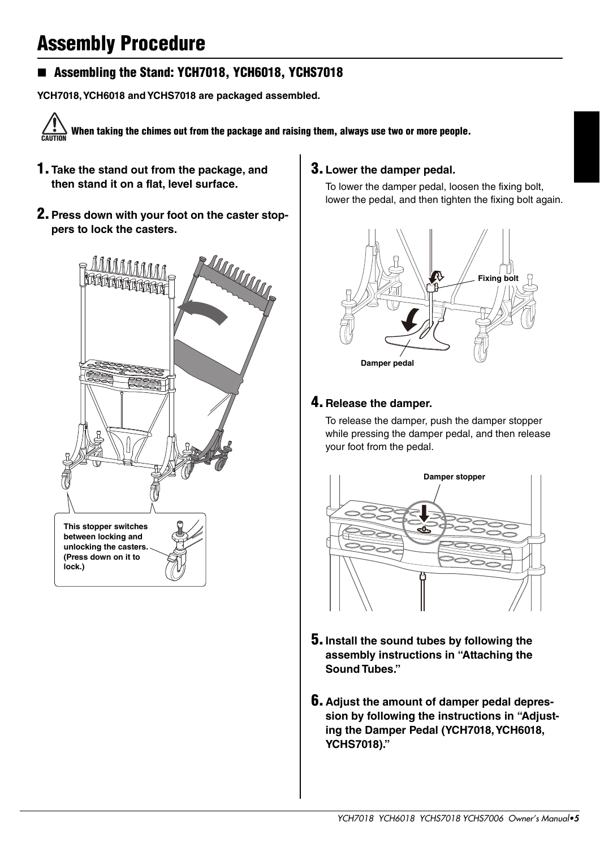## **Assembly Procedure**

#### **Assembling the Stand: YCH7018, YCH6018, YCHS7018**

**YCH7018, YCH6018 and YCHS7018 are packaged assembled.**

**When taking the chimes out from the package and raising them, always use two or more people. CAUTION**

- **1. Take the stand out from the package, and then stand it on a flat, level surface.**
- **2.Press down with your foot on the caster stoppers to lock the casters.**



#### **3.Lower the damper pedal.**

To lower the damper pedal, loosen the fixing bolt, lower the pedal, and then tighten the fixing bolt again.



#### **4. Release the damper.**

To release the damper, push the damper stopper while pressing the damper pedal, and then release your foot from the pedal.



- **5.Install the sound tubes by following the assembly instructions in "Attaching the Sound Tubes."**
- **6. Adjust the amount of damper pedal depression by following the instructions in "Adjusting the Damper Pedal (YCH7018, YCH6018, YCHS7018)."**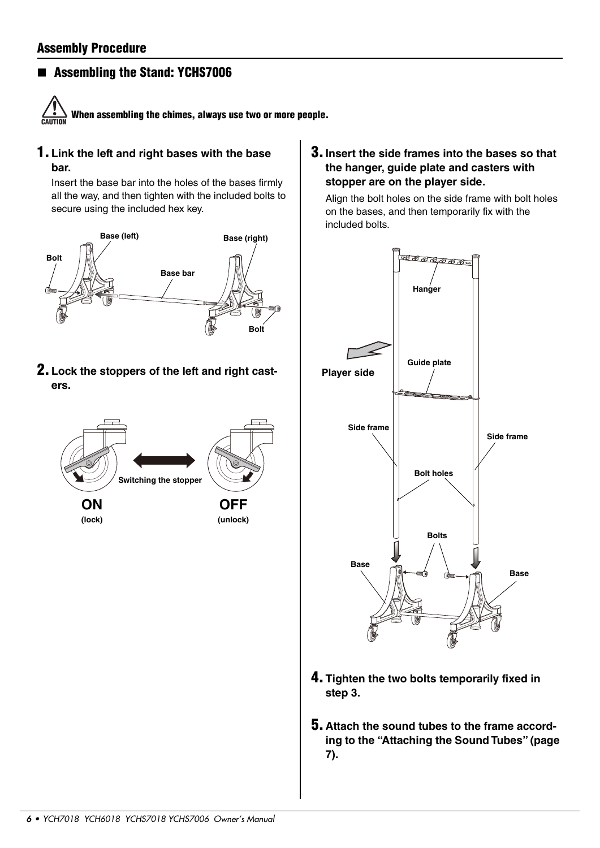#### **Assembling the Stand: YCHS7006**



**1. Link the left and right bases with the base bar.**

Insert the base bar into the holes of the bases firmly all the way, and then tighten with the included bolts to secure using the included hex key.



**2. Lock the stoppers of the left and right casters.**



**3.Insert the side frames into the bases so that the hanger, guide plate and casters with stopper are on the player side.**

Align the bolt holes on the side frame with bolt holes on the bases, and then temporarily fix with the included bolts.



- **4.Tighten the two bolts temporarily fixed in step 3.**
- **5. Attach the sound tubes to the frame according to the "Attaching the Sound Tubes" (page 7).**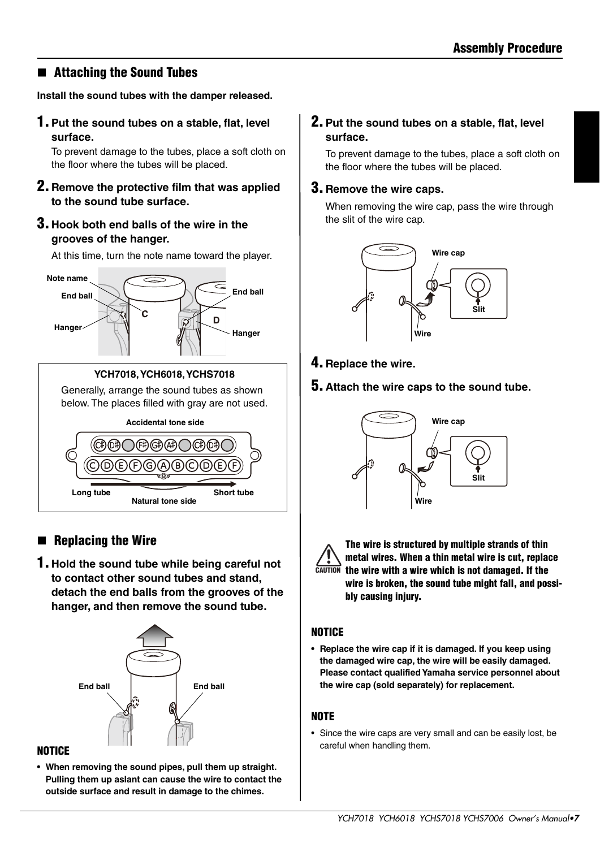#### **Attaching the Sound Tubes**

**Install the sound tubes with the damper released.**

**1.Put the sound tubes on a stable, flat, level surface.**

To prevent damage to the tubes, place a soft cloth on the floor where the tubes will be placed.

- **2. Remove the protective film that was applied to the sound tube surface.**
- **3. Hook both end balls of the wire in the grooves of the hanger.**

At this time, turn the note name toward the player.



**YCH7018, YCH6018, YCHS7018**

Generally, arrange the sound tubes as shown below. The places filled with gray are not used.



### **Replacing the Wire**

**1. Hold the sound tube while being careful not to contact other sound tubes and stand, detach the end balls from the grooves of the hanger, and then remove the sound tube.**



#### **NOTICE**

**• When removing the sound pipes, pull them up straight. Pulling them up aslant can cause the wire to contact the outside surface and result in damage to the chimes.**

#### **2.Put the sound tubes on a stable, flat, level surface.**

To prevent damage to the tubes, place a soft cloth on the floor where the tubes will be placed.

#### **3. Remove the wire caps.**

When removing the wire cap, pass the wire through the slit of the wire cap.



- **4. Replace the wire.**
- **5. Attach the wire caps to the sound tube.**



| ٦ı | <b>NUTI</b><br>ſ |
|----|------------------|
|    |                  |

**The wire is structured by multiple strands of thin metal wires. When a thin metal wire is cut, replace the wire with a wire which is not damaged. If the CAUTIONwire is broken, the sound tube might fall, and possibly causing injury.**

#### **NOTICE**

**• Replace the wire cap if it is damaged. If you keep using the damaged wire cap, the wire will be easily damaged. Please contact qualified Yamaha service personnel about the wire cap (sold separately) for replacement.**

#### **NOTE**

• Since the wire caps are very small and can be easily lost, be careful when handling them.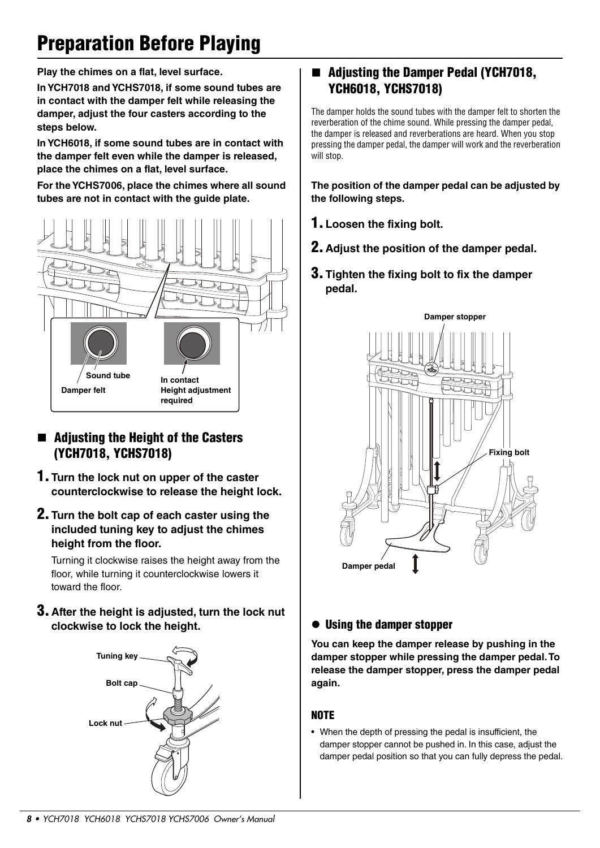## **Preparation Before Playing**

**Play the chimes on a flat, level surface.**

**In YCH7018 and YCHS7018, if some sound tubes are in contact with the damper felt while releasing the damper, adjust the four casters according to the steps below.**

**In YCH6018, if some sound tubes are in contact with the damper felt even while the damper is released, place the chimes on a flat, level surface.**

**For the YCHS7006, place the chimes where all sound tubes are not in contact with the guide plate.**



#### **Adjusting the Height of the Casters (YCH7018, YCHS7018)**

- **1. Turn the lock nut on upper of the caster counterclockwise to release the height lock.**
- **2. Turn the bolt cap of each caster using the included tuning key to adjust the chimes height from the floor.**

Turning it clockwise raises the height away from the floor, while turning it counterclockwise lowers it toward the floor.

**3. After the height is adjusted, turn the lock nut clockwise to lock the height.**



#### **Adjusting the Damper Pedal (YCH7018, YCH6018, YCHS7018)**

The damper holds the sound tubes with the damper felt to shorten the reverberation of the chime sound. While pressing the damper pedal, the damper is released and reverberations are heard. When you stop pressing the damper pedal, the damper will work and the reverberation will stop.

**The position of the damper pedal can be adjusted by the following steps.**

- **1.Loosen the fixing bolt.**
- **2. Adjust the position of the damper pedal.**
- **3.Tighten the fixing bolt to fix the damper pedal.**



#### **Using the damper stopper**

**You can keep the damper release by pushing in the damper stopper while pressing the damper pedal. To release the damper stopper, press the damper pedal again.**

#### **NOTE**

• When the depth of pressing the pedal is insufficient, the damper stopper cannot be pushed in. In this case, adjust the damper pedal position so that you can fully depress the pedal.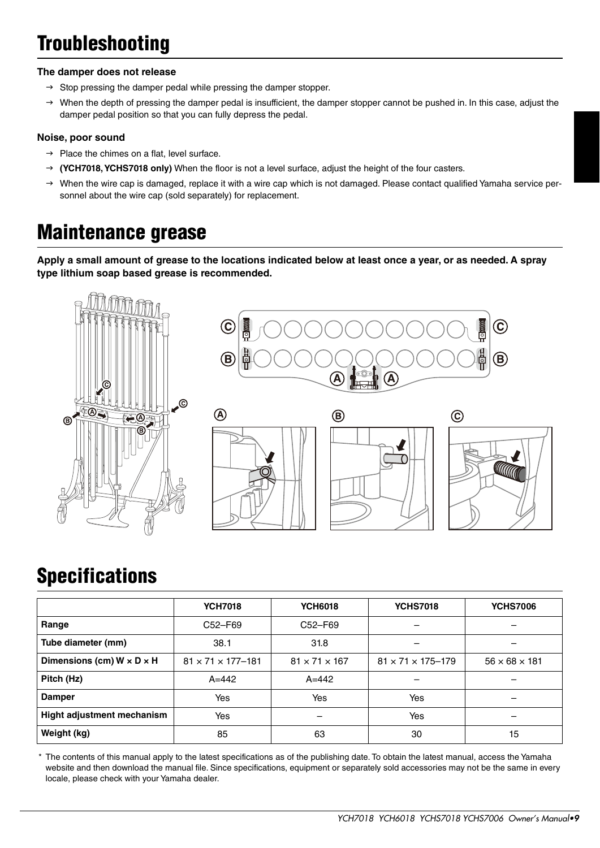## **Troubleshooting**

#### **The damper does not release**

- $\rightarrow$  Stop pressing the damper pedal while pressing the damper stopper.
- $\rightarrow$  When the depth of pressing the damper pedal is insufficient, the damper stopper cannot be pushed in. In this case, adjust the damper pedal position so that you can fully depress the pedal.

#### **Noise, poor sound**

- $\rightarrow$  Place the chimes on a flat, level surface.
- **(YCH7018, YCHS7018 only)** When the floor is not a level surface, adjust the height of the four casters.
- $\rightarrow$  When the wire cap is damaged, replace it with a wire cap which is not damaged. Please contact qualified Yamaha service personnel about the wire cap (sold separately) for replacement.

### **Maintenance grease**

**Apply a small amount of grease to the locations indicated below at least once a year, or as needed. A spray type lithium soap based grease is recommended.**



### **Specifications**

|                                       | <b>YCH7018</b>                  | <b>YCH6018</b>            | <b>YCHS7018</b>                 | <b>YCHS7006</b>           |
|---------------------------------------|---------------------------------|---------------------------|---------------------------------|---------------------------|
| Range                                 | C52-F69                         | C52-F69                   |                                 |                           |
| Tube diameter (mm)                    | 38.1                            | 31.8                      |                                 |                           |
| Dimensions (cm) $W \times D \times H$ | $81 \times 71 \times 177 - 181$ | $81 \times 71 \times 167$ | $81 \times 71 \times 175 - 179$ | $56 \times 68 \times 181$ |
| Pitch (Hz)                            | $A = 442$                       | $A = 442$                 |                                 |                           |
| <b>Damper</b>                         | Yes                             | Yes                       | Yes                             |                           |
| Hight adjustment mechanism            | Yes                             |                           | Yes                             |                           |
| Weight (kg)                           | 85                              | 63                        | 30                              | 15                        |

\* The contents of this manual apply to the latest specifications as of the publishing date. To obtain the latest manual, access the Yamaha website and then download the manual file. Since specifications, equipment or separately sold accessories may not be the same in every locale, please check with your Yamaha dealer.